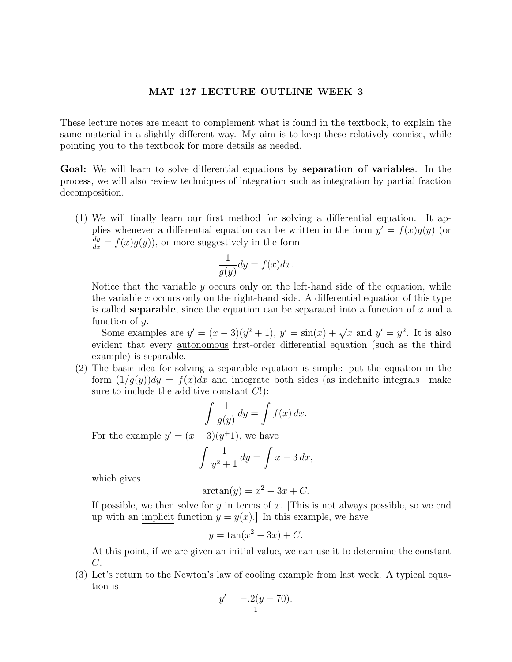## MAT 127 LECTURE OUTLINE WEEK 3

These lecture notes are meant to complement what is found in the textbook, to explain the same material in a slightly different way. My aim is to keep these relatively concise, while pointing you to the textbook for more details as needed.

Goal: We will learn to solve differential equations by separation of variables. In the process, we will also review techniques of integration such as integration by partial fraction decomposition.

(1) We will finally learn our first method for solving a differential equation. It applies whenever a differential equation can be written in the form  $y' = f(x)g(y)$  (or  $\frac{dy}{dx} = f(x)g(y)$ , or more suggestively in the form

$$
\frac{1}{g(y)}dy = f(x)dx.
$$

Notice that the variable  $y$  occurs only on the left-hand side of the equation, while the variable x occurs only on the right-hand side. A differential equation of this type is called **separable**, since the equation can be separated into a function of  $x$  and a function of y.

Some examples are  $y' = (x - 3)(y^2 + 1)$ ,  $y' = \sin(x) + \sqrt{x}$  and  $y' = y^2$ . It is also evident that every autonomous first-order differential equation (such as the third example) is separable.

(2) The basic idea for solving a separable equation is simple: put the equation in the form  $(1/g(y))dy = f(x)dx$  and integrate both sides (as indefinite integrals—make sure to include the additive constant  $C!$ :

$$
\int \frac{1}{g(y)} \, dy = \int f(x) \, dx.
$$

For the example  $y' = (x - 3)(y^{\dagger}1)$ , we have

$$
\int \frac{1}{y^2 + 1} dy = \int x - 3 dx,
$$

which gives

$$
\arctan(y) = x^2 - 3x + C.
$$

If possible, we then solve for y in terms of x. This is not always possible, so we end up with an implicit function  $y = y(x)$ . In this example, we have

$$
y = \tan(x^2 - 3x) + C.
$$

At this point, if we are given an initial value, we can use it to determine the constant C.

(3) Let's return to the Newton's law of cooling example from last week. A typical equation is

$$
y' = -.2(y - 70).
$$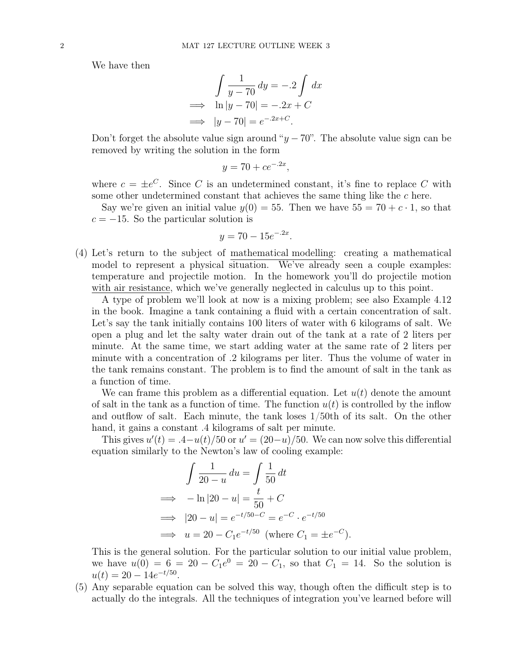We have then

$$
\int \frac{1}{y - 70} \, dy = -.2 \int dx
$$
  
\n
$$
\implies \ln|y - 70| = -.2x + C
$$
  
\n
$$
\implies |y - 70| = e^{-.2x + C}.
$$

Don't forget the absolute value sign around " $y - 70$ ". The absolute value sign can be removed by writing the solution in the form

$$
y = 70 + ce^{-.2x},
$$

where  $c = \pm e^C$ . Since C is an undetermined constant, it's fine to replace C with some other undetermined constant that achieves the same thing like the c here.

Say we're given an initial value  $y(0) = 55$ . Then we have  $55 = 70 + c \cdot 1$ , so that  $c = -15$ . So the particular solution is

$$
y = 70 - 15e^{-.2x}.
$$

(4) Let's return to the subject of mathematical modelling: creating a mathematical model to represent a physical situation. We've already seen a couple examples: temperature and projectile motion. In the homework you'll do projectile motion with air resistance, which we've generally neglected in calculus up to this point.

A type of problem we'll look at now is a mixing problem; see also Example 4.12 in the book. Imagine a tank containing a fluid with a certain concentration of salt. Let's say the tank initially contains 100 liters of water with 6 kilograms of salt. We open a plug and let the salty water drain out of the tank at a rate of 2 liters per minute. At the same time, we start adding water at the same rate of 2 liters per minute with a concentration of .2 kilograms per liter. Thus the volume of water in the tank remains constant. The problem is to find the amount of salt in the tank as a function of time.

We can frame this problem as a differential equation. Let  $u(t)$  denote the amount of salt in the tank as a function of time. The function  $u(t)$  is controlled by the inflow and outflow of salt. Each minute, the tank loses 1/50th of its salt. On the other hand, it gains a constant  $\ddot{A}$  kilograms of salt per minute.

This gives  $u'(t) = 0.4 - u(t)/50$  or  $u' = (20 - u)/50$ . We can now solve this differential equation similarly to the Newton's law of cooling example:

$$
\int \frac{1}{20 - u} du = \int \frac{1}{50} dt
$$
  
\n
$$
\implies -\ln|20 - u| = \frac{t}{50} + C
$$
  
\n
$$
\implies |20 - u| = e^{-t/50 - C} = e^{-C} \cdot e^{-t/50}
$$
  
\n
$$
\implies u = 20 - C_1 e^{-t/50} \text{ (where } C_1 = \pm e^{-C}).
$$

This is the general solution. For the particular solution to our initial value problem, we have  $u(0) = 6 = 20 - C_1 e^0 = 20 - C_1$ , so that  $C_1 = 14$ . So the solution is  $u(t) = 20 - 14e^{-t/50}.$ 

(5) Any separable equation can be solved this way, though often the difficult step is to actually do the integrals. All the techniques of integration you've learned before will